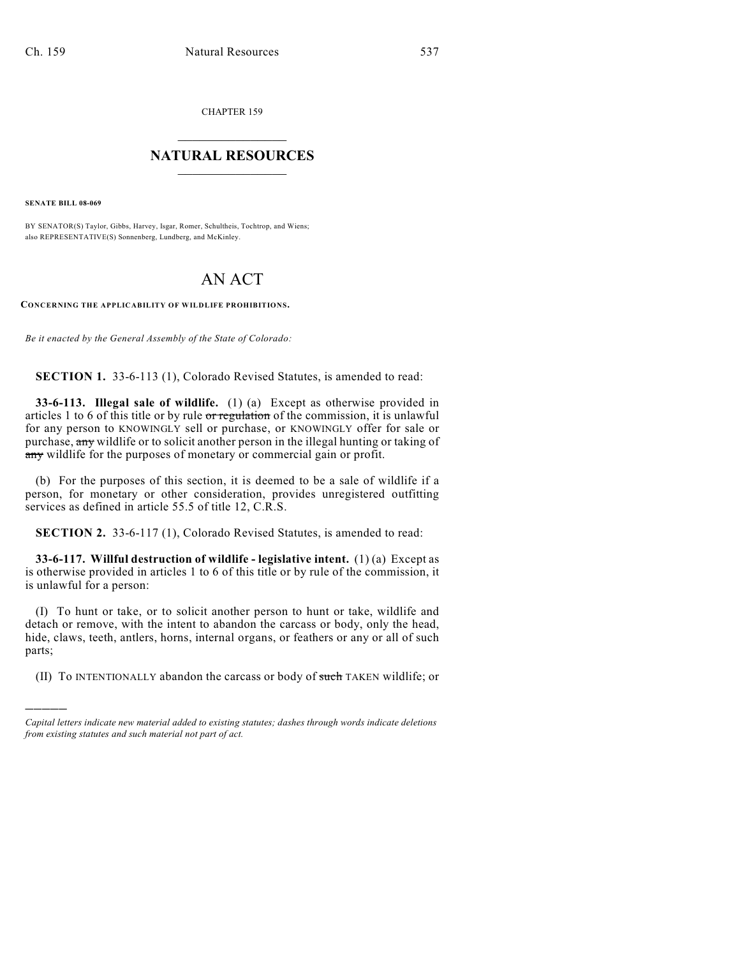CHAPTER 159

## $\overline{\phantom{a}}$  . The set of the set of the set of the set of the set of the set of the set of the set of the set of the set of the set of the set of the set of the set of the set of the set of the set of the set of the set o **NATURAL RESOURCES**  $\frac{1}{\sqrt{2}}$  , where  $\frac{1}{\sqrt{2}}$  ,  $\frac{1}{\sqrt{2}}$  ,  $\frac{1}{\sqrt{2}}$

**SENATE BILL 08-069**

)))))

BY SENATOR(S) Taylor, Gibbs, Harvey, Isgar, Romer, Schultheis, Tochtrop, and Wiens; also REPRESENTATIVE(S) Sonnenberg, Lundberg, and McKinley.

## AN ACT

**CONCERNING THE APPLICABILITY OF WILDLIFE PROHIBITIONS.**

*Be it enacted by the General Assembly of the State of Colorado:*

**SECTION 1.** 33-6-113 (1), Colorado Revised Statutes, is amended to read:

**33-6-113. Illegal sale of wildlife.** (1) (a) Except as otherwise provided in articles 1 to 6 of this title or by rule or regulation of the commission, it is unlawful for any person to KNOWINGLY sell or purchase, or KNOWINGLY offer for sale or purchase, any wildlife or to solicit another person in the illegal hunting or taking of any wildlife for the purposes of monetary or commercial gain or profit.

(b) For the purposes of this section, it is deemed to be a sale of wildlife if a person, for monetary or other consideration, provides unregistered outfitting services as defined in article 55.5 of title 12, C.R.S.

**SECTION 2.** 33-6-117 (1), Colorado Revised Statutes, is amended to read:

**33-6-117. Willful destruction of wildlife - legislative intent.** (1) (a) Except as is otherwise provided in articles 1 to 6 of this title or by rule of the commission, it is unlawful for a person:

(I) To hunt or take, or to solicit another person to hunt or take, wildlife and detach or remove, with the intent to abandon the carcass or body, only the head, hide, claws, teeth, antlers, horns, internal organs, or feathers or any or all of such parts;

(II) To INTENTIONALLY abandon the carcass or body of such TAKEN wildlife; or

*Capital letters indicate new material added to existing statutes; dashes through words indicate deletions from existing statutes and such material not part of act.*